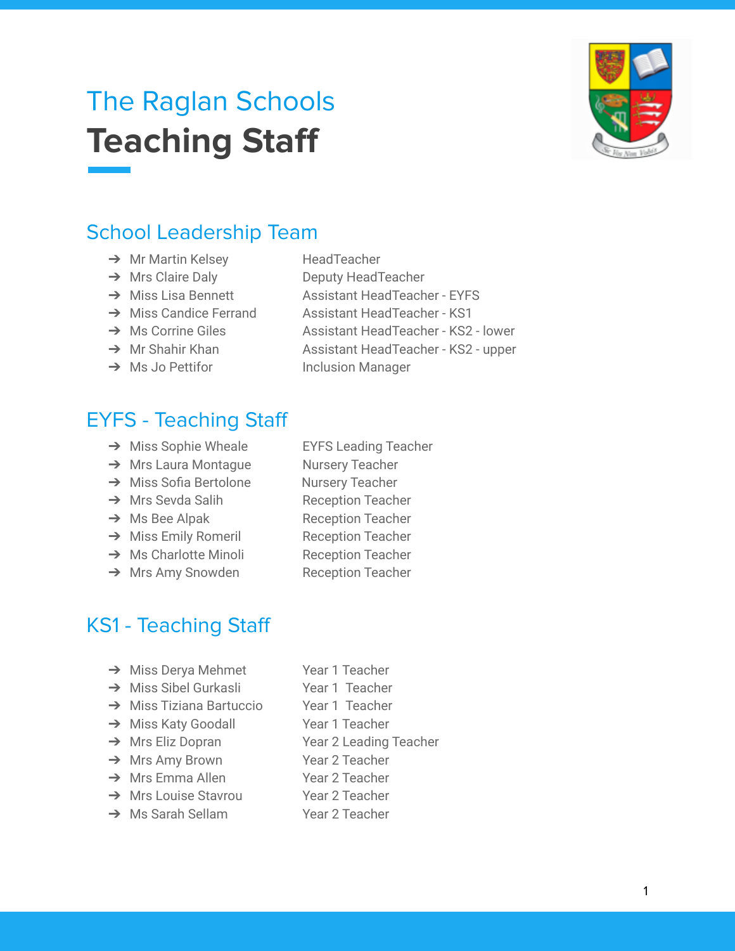# The Raglan Schools **Teaching Staff**

# School Leadership Team

- → Mr Martin Kelsey HeadTeacher
- 
- 
- 
- 
- 
- 

# EYFS - Teaching Staff

- → Miss Sophie Wheale EYFS Leading Teacher
- → Mrs Laura Montague Nursery Teacher
- → Miss Sofia Bertolone Nursery Teacher
- **→** Mrs Sevda Salih Reception Teacher
- → Ms Bee Alpak Reception Teacher
- → Miss Emily Romeril Reception Teacher
- **→** Ms Charlotte Minoli Reception Teacher
- **→** Mrs Amy Snowden Reception Teacher
- 
- 
- 
- 
- 
- 
- 
- 
- 

KS1 - Teaching Staff

- 
- 
- **→** Miss Tiziana Bartuccio Year 1 Teacher
- → Miss Katy Goodall Year 1 Teacher
- 
- → Mrs Amy Brown Year 2 Teacher
- 
- ➔ Mrs Louise Stavrou Year 2 Teacher
- **→** Ms Sarah Sellam Year 2 Teacher
- → Miss Derya Mehmet Year 1 Teacher
	-
	-
- → Mrs Eliz Dopran Year 2 Leading Teacher
	-
	-
	-
	-
- **→** Mrs Emma Allen Year 2 Teacher
	-
- **→** Miss Sibel Gurkasli Year 1 Teacher
	-



- → Mrs Claire Daly Deputy HeadTeacher
- **→** Miss Lisa Bennett Assistant HeadTeacher EYFS
- **→** Miss Candice Ferrand Assistant HeadTeacher KS1
- → Ms Corrine Giles Assistant HeadTeacher KS2 lower
- → Mr Shahir Khan Assistant HeadTeacher KS2 upper
- → Ms Jo Pettifor Inclusion Manager
- -
	-